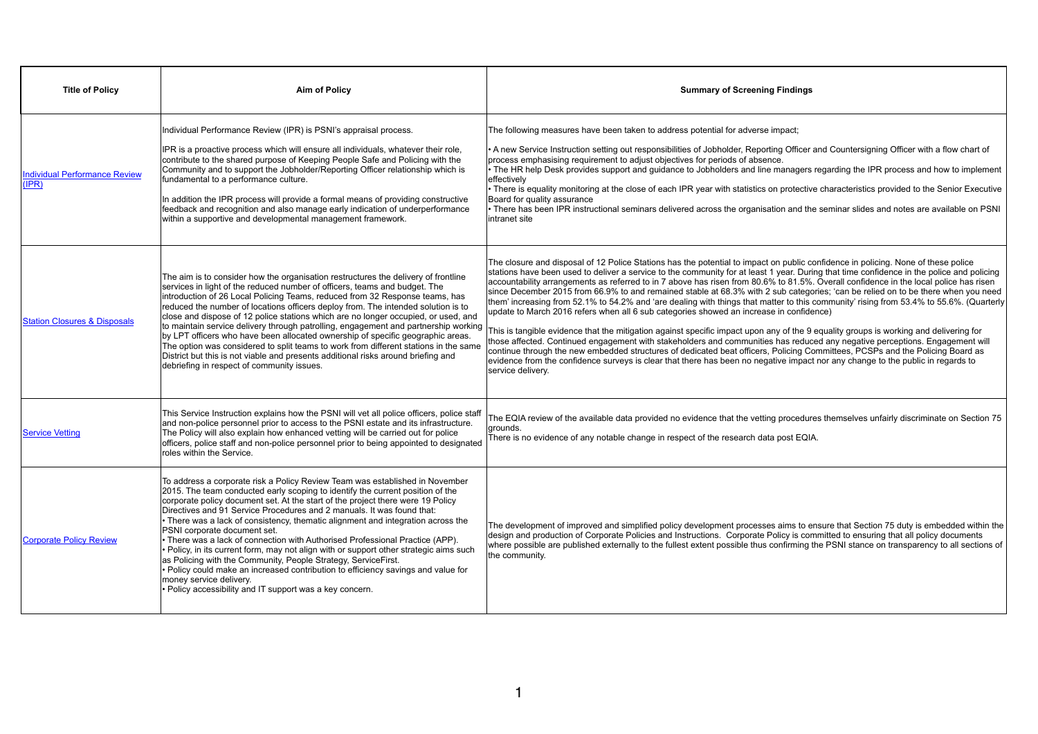| <b>Title of Policy</b>                        | <b>Aim of Policy</b>                                                                                                                                                                                                                                                                                                                                                                                                                                                                                                                                                                                                                                                                                                                                                                                                                                                                             |                                                                                                                                                                                                                              |
|-----------------------------------------------|--------------------------------------------------------------------------------------------------------------------------------------------------------------------------------------------------------------------------------------------------------------------------------------------------------------------------------------------------------------------------------------------------------------------------------------------------------------------------------------------------------------------------------------------------------------------------------------------------------------------------------------------------------------------------------------------------------------------------------------------------------------------------------------------------------------------------------------------------------------------------------------------------|------------------------------------------------------------------------------------------------------------------------------------------------------------------------------------------------------------------------------|
| <b>Individual Performance Review</b><br>(IPR) | Individual Performance Review (IPR) is PSNI's appraisal process.<br>IPR is a proactive process which will ensure all individuals, whatever their role,<br>contribute to the shared purpose of Keeping People Safe and Policing with the<br>Community and to support the Jobholder/Reporting Officer relationship which is<br>fundamental to a performance culture.<br>In addition the IPR process will provide a formal means of providing constructive<br>feedback and recognition and also manage early indication of underperformance<br>within a supportive and developmental management framework.                                                                                                                                                                                                                                                                                          | The following me<br>A new Service I<br>process emphasi<br>• The HR help De<br>effectively<br>• There is equalit<br>Board for quality<br>• There has been<br>intranet site                                                    |
| <b>Station Closures &amp; Disposals</b>       | The aim is to consider how the organisation restructures the delivery of frontline<br>services in light of the reduced number of officers, teams and budget. The<br>introduction of 26 Local Policing Teams, reduced from 32 Response teams, has<br>reduced the number of locations officers deploy from. The intended solution is to<br>close and dispose of 12 police stations which are no longer occupied, or used, and<br>to maintain service delivery through patrolling, engagement and partnership working<br>by LPT officers who have been allocated ownership of specific geographic areas.<br>The option was considered to split teams to work from different stations in the same<br>District but this is not viable and presents additional risks around briefing and<br>debriefing in respect of community issues.                                                                 | The closure and<br>stations have bee<br>accountability arr<br>since December<br>them' increasing<br>update to March<br>This is tangible e<br>those affected. C<br>continue through<br>evidence from the<br>service delivery. |
| <b>Service Vetting</b>                        | This Service Instruction explains how the PSNI will vet all police officers, police staff<br>and non-police personnel prior to access to the PSNI estate and its infrastructure.<br>The Policy will also explain how enhanced vetting will be carried out for police<br>officers, police staff and non-police personnel prior to being appointed to designated<br>roles within the Service.                                                                                                                                                                                                                                                                                                                                                                                                                                                                                                      | The EQIA review<br>grounds.<br>There is no evide                                                                                                                                                                             |
| <b>Corporate Policy Review</b>                | To address a corporate risk a Policy Review Team was established in November<br>2015. The team conducted early scoping to identify the current position of the<br>corporate policy document set. At the start of the project there were 19 Policy<br>Directives and 91 Service Procedures and 2 manuals. It was found that:<br>• There was a lack of consistency, thematic alignment and integration across the<br>PSNI corporate document set.<br>$\cdot$ There was a lack of connection with Authorised Professional Practice (APP).<br>$\cdot$ Policy, in its current form, may not align with or support other strategic aims such<br>as Policing with the Community, People Strategy, ServiceFirst.<br>$\cdot$ Policy could make an increased contribution to efficiency savings and value for<br>money service delivery.<br>$\cdot$ Policy accessibility and IT support was a key concern. | The development<br>design and produ<br>where possible a<br>the community.                                                                                                                                                    |

## **Summary of Screening Findings**

easures have been taken to address potential for adverse impact;

Instruction setting out responsibilities of Jobholder, Reporting Officer and Countersigning Officer with a flow chart of ising requirement to adjust objectives for periods of absence.

esk provides support and guidance to Jobholders and line managers regarding the IPR process and how to implement

ty monitoring at the close of each IPR year with statistics on protective characteristics provided to the Senior Executive assurance

I IPR instructional seminars delivered across the organisation and the seminar slides and notes are available on PSNI

disposal of 12 Police Stations has the potential to impact on public confidence in policing. None of these police en used to deliver a service to the community for at least 1 year. During that time confidence in the police and policing rangements as referred to in 7 above has risen from 80.6% to 81.5%. Overall confidence in the local police has risen 2015 from 66.9% to and remained stable at 68.3% with 2 sub categories; 'can be relied on to be there when you need from 52.1% to 54.2% and 'are dealing with things that matter to this community' rising from 53.4% to 55.6%. (Quarterly 2016 refers when all 6 sub categories showed an increase in confidence)

evidence that the mitigation against specific impact upon any of the 9 equality groups is working and delivering for Continued engagement with stakeholders and communities has reduced any negative perceptions. Engagement will the new embedded structures of dedicated beat officers, Policing Committees, PCSPs and the Policing Board as e confidence surveys is clear that there has been no negative impact nor any change to the public in regards to

of the available data provided no evidence that the vetting procedures themselves unfairly discriminate on Section 75

ence of any notable change in respect of the research data post EQIA.

 $\,$ nt of improved and simplified policy development processes aims to ensure that Section 75 duty is embedded within the  $|$ action of Corporate Policies and Instructions. Corporate Policy is committed to ensuring that all policy documents are published externally to the fullest extent possible thus confirming the PSNI stance on transparency to all sections of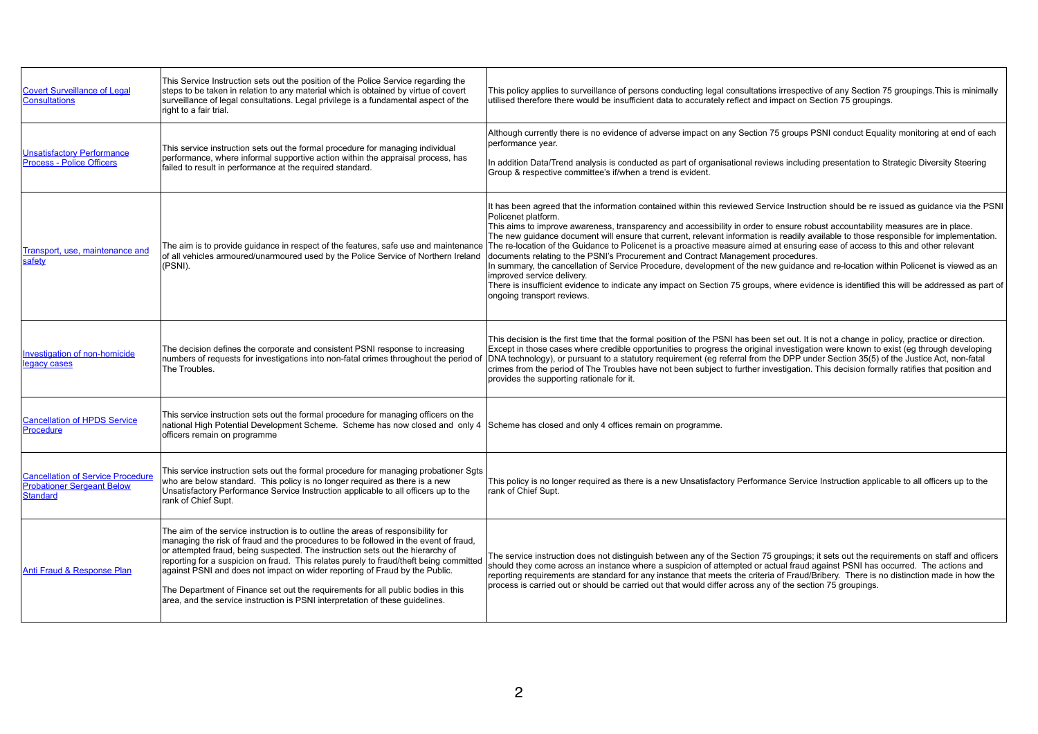| <b>Covert Surveillance of Legal</b><br><b>Consultations</b>                                      | This Service Instruction sets out the position of the Police Service regarding the<br>steps to be taken in relation to any material which is obtained by virtue of covert<br>surveillance of legal consultations. Legal privilege is a fundamental aspect of the<br>right to a fair trial.                                                                                                                                                                                                                                                                                                              | This policy applies<br>utilised therefore th                                                                                                                                                                                       |
|--------------------------------------------------------------------------------------------------|---------------------------------------------------------------------------------------------------------------------------------------------------------------------------------------------------------------------------------------------------------------------------------------------------------------------------------------------------------------------------------------------------------------------------------------------------------------------------------------------------------------------------------------------------------------------------------------------------------|------------------------------------------------------------------------------------------------------------------------------------------------------------------------------------------------------------------------------------|
| <b>Unsatisfactory Performance</b><br><b>Process - Police Officers</b>                            | This service instruction sets out the formal procedure for managing individual<br>performance, where informal supportive action within the appraisal process, has<br>failed to result in performance at the required standard.                                                                                                                                                                                                                                                                                                                                                                          | Although currently t<br>performance year.<br>In addition Data/Tre<br>Group & respective                                                                                                                                            |
| Transport, use, maintenance and<br>safety                                                        | The aim is to provide guidance in respect of the features, safe use and maintenance<br>of all vehicles armoured/unarmoured used by the Police Service of Northern Ireland<br>(PSNI).                                                                                                                                                                                                                                                                                                                                                                                                                    | It has been agreed<br>Policenet platform.<br>This aims to improv<br>The new guidance<br>The re-location of th<br>documents relating<br>In summary, the car<br>improved service de<br>There is insufficient<br>ongoing transport re |
| <b>Investigation of non-homicide</b><br>legacy cases                                             | The decision defines the corporate and consistent PSNI response to increasing<br>numbers of requests for investigations into non-fatal crimes throughout the period of<br>The Troubles.                                                                                                                                                                                                                                                                                                                                                                                                                 | This decision is the<br>Except in those cas<br>DNA technology), o<br>crimes from the per<br>provides the suppo                                                                                                                     |
| <b>Cancellation of HPDS Service</b><br><b>Procedure</b>                                          | This service instruction sets out the formal procedure for managing officers on the<br>national High Potential Development Scheme. Scheme has now closed and only 4<br>officers remain on programme                                                                                                                                                                                                                                                                                                                                                                                                     | Scheme has closed                                                                                                                                                                                                                  |
| <b>Cancellation of Service Procedure</b><br><b>Probationer Sergeant Below</b><br><b>Standard</b> | This service instruction sets out the formal procedure for managing probationer Sgts<br>who are below standard. This policy is no longer required as there is a new<br>Unsatisfactory Performance Service Instruction applicable to all officers up to the<br>rank of Chief Supt.                                                                                                                                                                                                                                                                                                                       | This policy is no lor<br>rank of Chief Supt.                                                                                                                                                                                       |
| <b>Anti Fraud &amp; Response Plan</b>                                                            | The aim of the service instruction is to outline the areas of responsibility for<br>managing the risk of fraud and the procedures to be followed in the event of fraud,<br>or attempted fraud, being suspected. The instruction sets out the hierarchy of<br>reporting for a suspicion on fraud. This relates purely to fraud/theft being committed<br>against PSNI and does not impact on wider reporting of Fraud by the Public.<br>The Department of Finance set out the requirements for all public bodies in this<br>area, and the service instruction is PSNI interpretation of these guidelines. | The service instruct<br>should they come a<br>reporting requireme<br>process is carried c                                                                                                                                          |

es to surveillance of persons conducting legal consultations irrespective of any Section 75 groupings.This is minimally there would be insufficient data to accurately reflect and impact on Section 75 groupings.

ly there is no evidence of adverse impact on any Section 75 groups PSNI conduct Equality monitoring at end of each

Trend analysis is conducted as part of organisational reviews including presentation to Strategic Diversity Steering ve committee's if/when a trend is evident.

ed that the information contained within this reviewed Service Instruction should be re issued as guidance via the PSNI

rove awareness, transparency and accessibility in order to ensure robust accountability measures are in place. te document will ensure that current, relevant information is readily available to those responsible for implementation. If the Guidance to Policenet is a proactive measure aimed at ensuring ease of access to this and other relevant

ng to the PSNI's Procurement and Contract Management procedures.

cancellation of Service Procedure, development of the new guidance and re-location within Policenet is viewed as an delivery.

ent evidence to indicate any impact on Section 75 groups, where evidence is identified this will be addressed as part of t reviews.

he first time that the formal position of the PSNI has been set out. It is not a change in policy, practice or direction. cases where credible opportunities to progress the original investigation were known to exist (eg through developing , or pursuant to a statutory requirement (eg referral from the DPP under Section 35(5) of the Justice Act, non-fatal beriod of The Troubles have not been subject to further investigation. This decision formally ratifies that position and porting rationale for it.

sed and only 4 offices remain on programme.

Ionger required as there is a new Unsatisfactory Performance Service Instruction applicable to all officers up to the

uction does not distinguish between any of the Section 75 groupings; it sets out the requirements on staff and officers e across an instance where a suspicion of attempted or actual fraud against PSNI has occurred. The actions and ments are standard for any instance that meets the criteria of Fraud/Bribery. There is no distinction made in how the d out or should be carried out that would differ across any of the section 75 groupings.